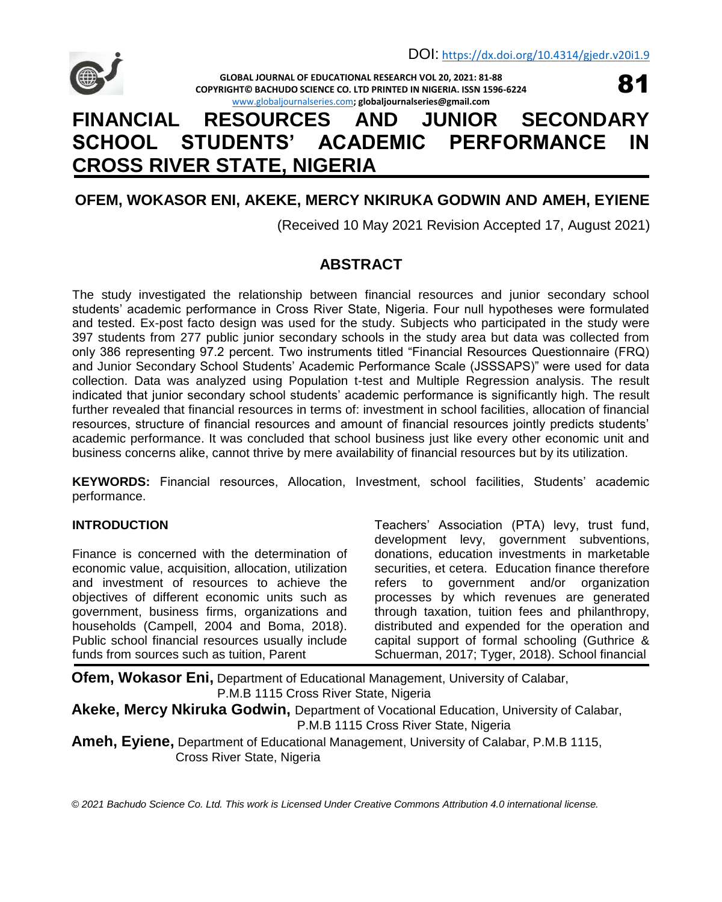

**GLOBAL JOURNAL OF EDUCATIONAL RESEARCH VOL 20, 2021: 81-88 COPYRIGHT© BACHUDO SCIENCE CO. LTD PRINTED IN NIGERIA. ISSN 1596-6224** [www.globaljournalseries.com](http://www.globaljournalseries.com/)**; globaljournalseries@gmail.com**



# **FINANCIAL RESOURCES AND JUNIOR SECONDARY SCHOOL STUDENTS' ACADEMIC PERFORMANCE IN CROSS RIVER STATE, NIGERIA**

# **OFEM, WOKASOR ENI, AKEKE, MERCY NKIRUKA GODWIN AND AMEH, EYIENE**

(Received 10 May 2021 Revision Accepted 17, August 2021)

# **ABSTRACT**

The study investigated the relationship between financial resources and junior secondary school students' academic performance in Cross River State, Nigeria. Four null hypotheses were formulated and tested. Ex-post facto design was used for the study. Subjects who participated in the study were 397 students from 277 public junior secondary schools in the study area but data was collected from only 386 representing 97.2 percent. Two instruments titled "Financial Resources Questionnaire (FRQ) and Junior Secondary School Students' Academic Performance Scale (JSSSAPS)" were used for data collection. Data was analyzed using Population t-test and Multiple Regression analysis. The result indicated that junior secondary school students' academic performance is significantly high. The result further revealed that financial resources in terms of: investment in school facilities, allocation of financial resources, structure of financial resources and amount of financial resources jointly predicts students' academic performance. It was concluded that school business just like every other economic unit and business concerns alike, cannot thrive by mere availability of financial resources but by its utilization.

**KEYWORDS:** Financial resources, Allocation, Investment, school facilities, Students' academic performance.

# **INTRODUCTION**

Finance is concerned with the determination of economic value, acquisition, allocation, utilization and investment of resources to achieve the objectives of different economic units such as government, business firms, organizations and households (Campell, 2004 and Boma, 2018). Public school financial resources usually include funds from sources such as tuition, Parent

Teachers' Association (PTA) levy, trust fund, development levy, government subventions, donations, education investments in marketable securities, et cetera. Education finance therefore refers to government and/or organization processes by which revenues are generated through taxation, tuition fees and philanthropy, distributed and expended for the operation and capital support of formal schooling (Guthrice & Schuerman, 2017; Tyger, 2018). School financial

**Ofem, Wokasor Eni,** Department of Educational Management, University of Calabar, P.M.B 1115 Cross River State, Nigeria

**Akeke, Mercy Nkiruka Godwin,** Department of Vocational Education, University of Calabar, P.M.B 1115 Cross River State, Nigeria

**Ameh, Eyiene,** Department of Educational Management, University of Calabar, P.M.B 1115, Cross River State, Nigeria

*© 2021 Bachudo Science Co. Ltd. This work is Licensed Under Creative Commons Attribution 4.0 international license.*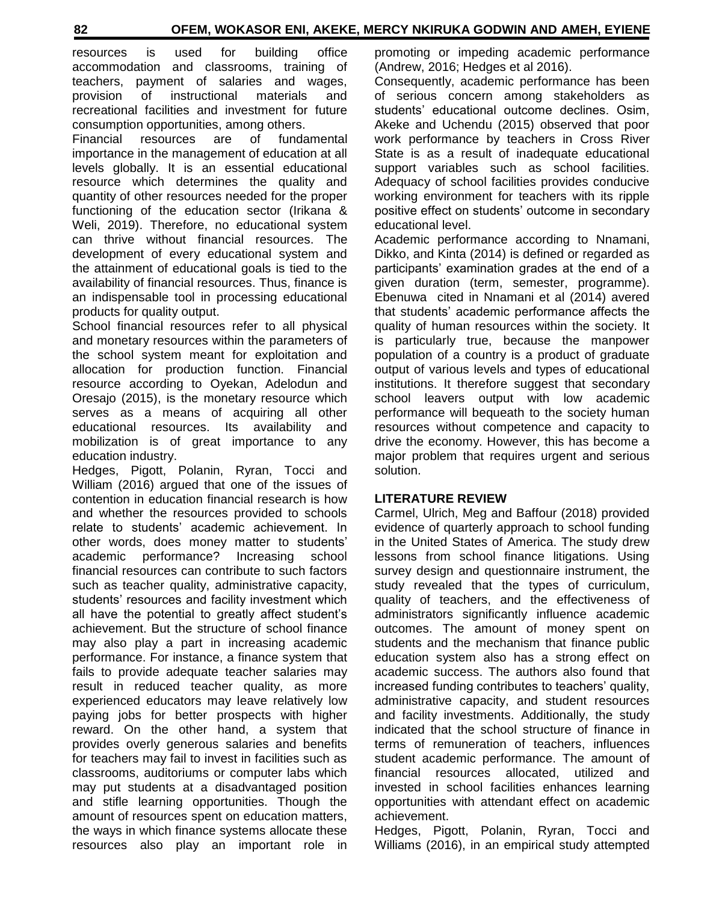resources is used for building office accommodation and classrooms, training of teachers, payment of salaries and wages, provision of instructional materials and recreational facilities and investment for future consumption opportunities, among others.

Financial resources are of fundamental importance in the management of education at all levels globally. It is an essential educational resource which determines the quality and quantity of other resources needed for the proper functioning of the education sector (Irikana & Weli, 2019). Therefore, no educational system can thrive without financial resources. The development of every educational system and the attainment of educational goals is tied to the availability of financial resources. Thus, finance is an indispensable tool in processing educational products for quality output.

School financial resources refer to all physical and monetary resources within the parameters of the school system meant for exploitation and allocation for production function. Financial resource according to Oyekan, Adelodun and Oresajo (2015), is the monetary resource which serves as a means of acquiring all other educational resources. Its availability and mobilization is of great importance to any education industry.

Hedges, Pigott, Polanin, Ryran, Tocci and William (2016) argued that one of the issues of contention in education financial research is how and whether the resources provided to schools relate to students' academic achievement. In other words, does money matter to students' academic performance? Increasing school financial resources can contribute to such factors such as teacher quality, administrative capacity, students' resources and facility investment which all have the potential to greatly affect student's achievement. But the structure of school finance may also play a part in increasing academic performance. For instance, a finance system that fails to provide adequate teacher salaries may result in reduced teacher quality, as more experienced educators may leave relatively low paying jobs for better prospects with higher reward. On the other hand, a system that provides overly generous salaries and benefits for teachers may fail to invest in facilities such as classrooms, auditoriums or computer labs which may put students at a disadvantaged position and stifle learning opportunities. Though the amount of resources spent on education matters, the ways in which finance systems allocate these resources also play an important role in

promoting or impeding academic performance (Andrew, 2016; Hedges et al 2016).

Consequently, academic performance has been of serious concern among stakeholders as students' educational outcome declines. Osim, Akeke and Uchendu (2015) observed that poor work performance by teachers in Cross River State is as a result of inadequate educational support variables such as school facilities. Adequacy of school facilities provides conducive working environment for teachers with its ripple positive effect on students' outcome in secondary educational level.

Academic performance according to Nnamani, Dikko, and Kinta (2014) is defined or regarded as participants' examination grades at the end of a given duration (term, semester, programme). Ebenuwa cited in Nnamani et al (2014) avered that students' academic performance affects the quality of human resources within the society. It is particularly true, because the manpower population of a country is a product of graduate output of various levels and types of educational institutions. It therefore suggest that secondary school leavers output with low academic performance will bequeath to the society human resources without competence and capacity to drive the economy. However, this has become a major problem that requires urgent and serious solution.

# **LITERATURE REVIEW**

Carmel, Ulrich, Meg and Baffour (2018) provided evidence of quarterly approach to school funding in the United States of America. The study drew lessons from school finance litigations. Using survey design and questionnaire instrument, the study revealed that the types of curriculum, quality of teachers, and the effectiveness of administrators significantly influence academic outcomes. The amount of money spent on students and the mechanism that finance public education system also has a strong effect on academic success. The authors also found that increased funding contributes to teachers' quality, administrative capacity, and student resources and facility investments. Additionally, the study indicated that the school structure of finance in terms of remuneration of teachers, influences student academic performance. The amount of financial resources allocated, utilized and invested in school facilities enhances learning opportunities with attendant effect on academic achievement.

Hedges, Pigott, Polanin, Ryran, Tocci and Williams (2016), in an empirical study attempted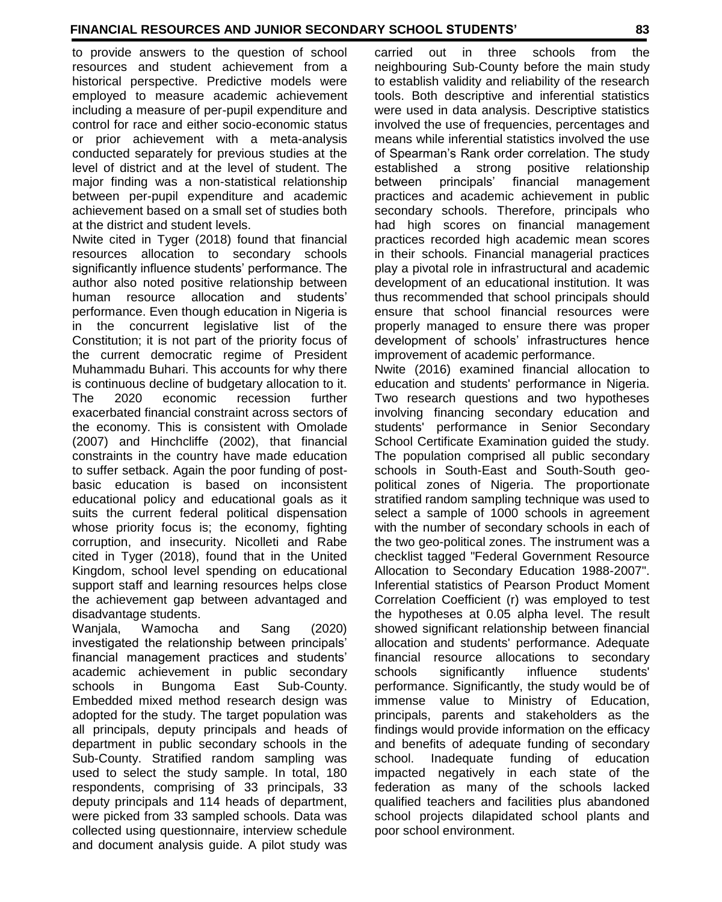to provide answers to the question of school resources and student achievement from a historical perspective. Predictive models were employed to measure academic achievement including a measure of per-pupil expenditure and control for race and either socio-economic status or prior achievement with a meta-analysis conducted separately for previous studies at the level of district and at the level of student. The major finding was a non-statistical relationship between per-pupil expenditure and academic achievement based on a small set of studies both at the district and student levels.

Nwite cited in Tyger (2018) found that financial resources allocation to secondary schools significantly influence students' performance. The author also noted positive relationship between human resource allocation and students' performance. Even though education in Nigeria is in the concurrent legislative list of the Constitution; it is not part of the priority focus of the current democratic regime of President Muhammadu Buhari. This accounts for why there is continuous decline of budgetary allocation to it. The 2020 economic recession further exacerbated financial constraint across sectors of the economy. This is consistent with Omolade (2007) and Hinchcliffe (2002), that financial constraints in the country have made education to suffer setback. Again the poor funding of postbasic education is based on inconsistent educational policy and educational goals as it suits the current federal political dispensation whose priority focus is; the economy, fighting corruption, and insecurity. Nicolleti and Rabe cited in Tyger (2018), found that in the United Kingdom, school level spending on educational support staff and learning resources helps close the achievement gap between advantaged and disadvantage students.

Wanjala, Wamocha and Sang (2020) investigated the relationship between principals' financial management practices and students' academic achievement in public secondary schools in Bungoma East Sub-County. Embedded mixed method research design was adopted for the study. The target population was all principals, deputy principals and heads of department in public secondary schools in the Sub-County. Stratified random sampling was used to select the study sample. In total, 180 respondents, comprising of 33 principals, 33 deputy principals and 114 heads of department, were picked from 33 sampled schools. Data was collected using questionnaire, interview schedule and document analysis guide. A pilot study was

carried out in three schools from the neighbouring Sub-County before the main study to establish validity and reliability of the research tools. Both descriptive and inferential statistics were used in data analysis. Descriptive statistics involved the use of frequencies, percentages and means while inferential statistics involved the use of Spearman's Rank order correlation. The study established a strong positive relationship between principals' financial management practices and academic achievement in public secondary schools. Therefore, principals who had high scores on financial management practices recorded high academic mean scores in their schools. Financial managerial practices play a pivotal role in infrastructural and academic development of an educational institution. It was thus recommended that school principals should ensure that school financial resources were properly managed to ensure there was proper development of schools' infrastructures hence improvement of academic performance.

Nwite (2016) examined financial allocation to education and students' performance in Nigeria. Two research questions and two hypotheses involving financing secondary education and students' performance in Senior Secondary School Certificate Examination guided the study. The population comprised all public secondary schools in South-East and South-South geopolitical zones of Nigeria. The proportionate stratified random sampling technique was used to select a sample of 1000 schools in agreement with the number of secondary schools in each of the two geo-political zones. The instrument was a checklist tagged "Federal Government Resource Allocation to Secondary Education 1988-2007". Inferential statistics of Pearson Product Moment Correlation Coefficient (r) was employed to test the hypotheses at 0.05 alpha level. The result showed significant relationship between financial allocation and students' performance. Adequate financial resource allocations to secondary schools significantly influence students' performance. Significantly, the study would be of immense value to Ministry of Education, principals, parents and stakeholders as the findings would provide information on the efficacy and benefits of adequate funding of secondary school. Inadequate funding of education impacted negatively in each state of the federation as many of the schools lacked qualified teachers and facilities plus abandoned school projects dilapidated school plants and poor school environment.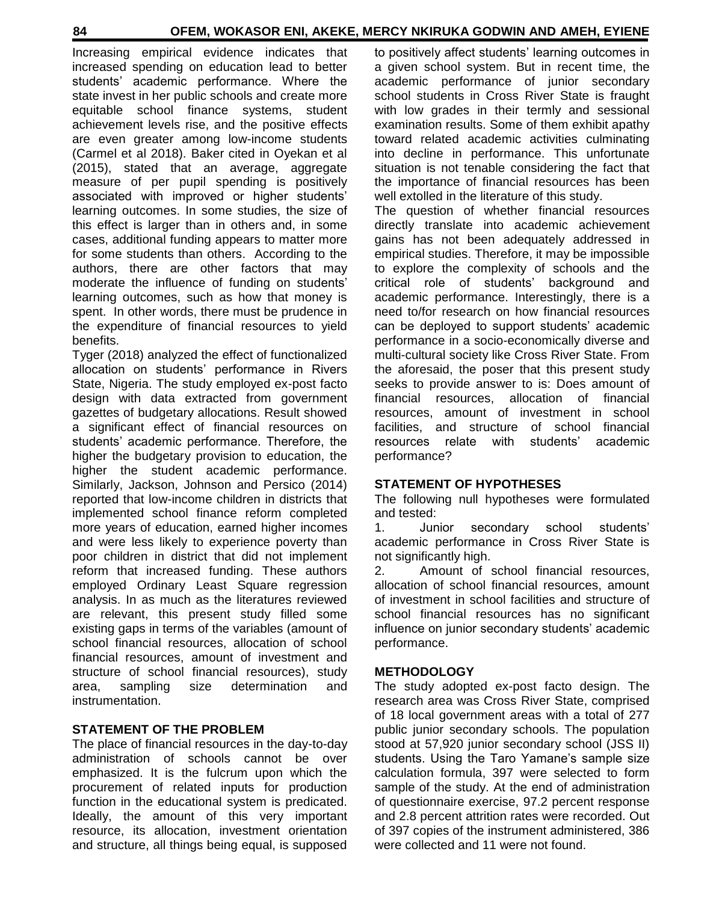Increasing empirical evidence indicates that increased spending on education lead to better students' academic performance. Where the state invest in her public schools and create more equitable school finance systems, student achievement levels rise, and the positive effects are even greater among low-income students (Carmel et al 2018). Baker cited in Oyekan et al (2015), stated that an average, aggregate measure of per pupil spending is positively associated with improved or higher students' learning outcomes. In some studies, the size of this effect is larger than in others and, in some cases, additional funding appears to matter more for some students than others. According to the authors, there are other factors that may moderate the influence of funding on students' learning outcomes, such as how that money is spent. In other words, there must be prudence in the expenditure of financial resources to yield benefits.

Tyger (2018) analyzed the effect of functionalized allocation on students' performance in Rivers State, Nigeria. The study employed ex-post facto design with data extracted from government gazettes of budgetary allocations. Result showed a significant effect of financial resources on students' academic performance. Therefore, the higher the budgetary provision to education, the higher the student academic performance. Similarly, Jackson, Johnson and Persico (2014) reported that low-income children in districts that implemented school finance reform completed more years of education, earned higher incomes and were less likely to experience poverty than poor children in district that did not implement reform that increased funding. These authors employed Ordinary Least Square regression analysis. In as much as the literatures reviewed are relevant, this present study filled some existing gaps in terms of the variables (amount of school financial resources, allocation of school financial resources, amount of investment and structure of school financial resources), study area, sampling size determination and instrumentation.

# **STATEMENT OF THE PROBLEM**

The place of financial resources in the day-to-day administration of schools cannot be over emphasized. It is the fulcrum upon which the procurement of related inputs for production function in the educational system is predicated. Ideally, the amount of this very important resource, its allocation, investment orientation and structure, all things being equal, is supposed to positively affect students' learning outcomes in a given school system. But in recent time, the academic performance of junior secondary school students in Cross River State is fraught with low grades in their termly and sessional examination results. Some of them exhibit apathy toward related academic activities culminating into decline in performance. This unfortunate situation is not tenable considering the fact that the importance of financial resources has been well extolled in the literature of this study.

The question of whether financial resources directly translate into academic achievement gains has not been adequately addressed in empirical studies. Therefore, it may be impossible to explore the complexity of schools and the critical role of students' background and academic performance. Interestingly, there is a need to/for research on how financial resources can be deployed to support students' academic performance in a socio-economically diverse and multi-cultural society like Cross River State. From the aforesaid, the poser that this present study seeks to provide answer to is: Does amount of financial resources, allocation of financial resources, amount of investment in school facilities, and structure of school financial resources relate with students' academic performance?

# **STATEMENT OF HYPOTHESES**

The following null hypotheses were formulated and tested:

1. Junior secondary school students' academic performance in Cross River State is not significantly high.

2. Amount of school financial resources, allocation of school financial resources, amount of investment in school facilities and structure of school financial resources has no significant influence on junior secondary students' academic performance.

#### **METHODOLOGY**

The study adopted ex-post facto design. The research area was Cross River State, comprised of 18 local government areas with a total of 277 public junior secondary schools. The population stood at 57,920 junior secondary school (JSS II) students. Using the Taro Yamane's sample size calculation formula, 397 were selected to form sample of the study. At the end of administration of questionnaire exercise, 97.2 percent response and 2.8 percent attrition rates were recorded. Out of 397 copies of the instrument administered, 386 were collected and 11 were not found.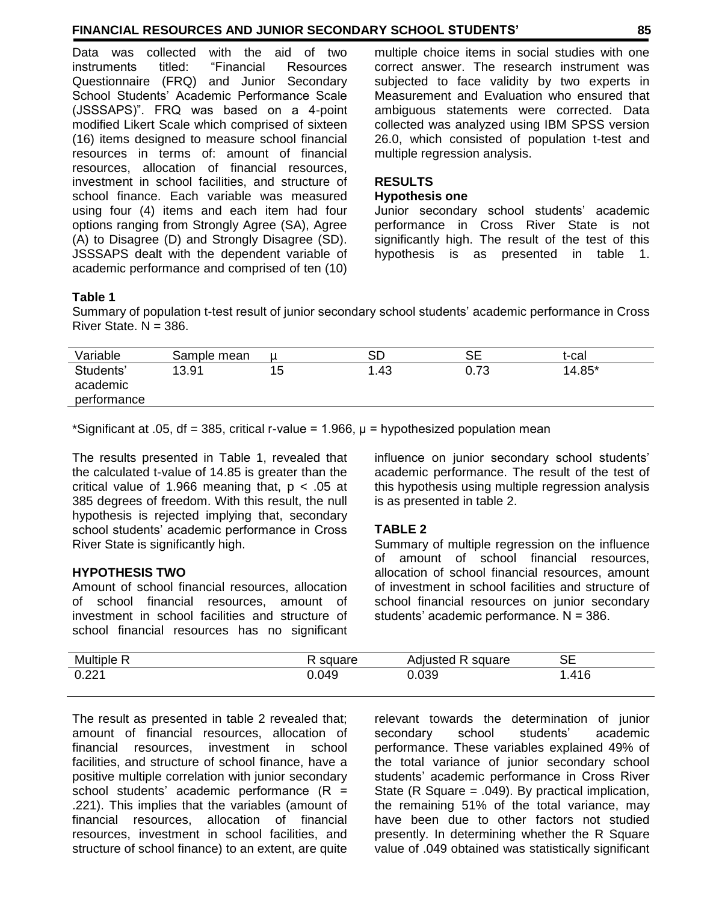# **FINANCIAL RESOURCES AND JUNIOR SECONDARY SCHOOL STUDENTS' 85**

Data was collected with the aid of two instruments titled: "Financial Resources Questionnaire (FRQ) and Junior Secondary School Students' Academic Performance Scale (JSSSAPS)". FRQ was based on a 4-point modified Likert Scale which comprised of sixteen (16) items designed to measure school financial resources in terms of: amount of financial resources, allocation of financial resources, investment in school facilities, and structure of school finance. Each variable was measured using four (4) items and each item had four options ranging from Strongly Agree (SA), Agree (A) to Disagree (D) and Strongly Disagree (SD). JSSSAPS dealt with the dependent variable of academic performance and comprised of ten (10)

multiple choice items in social studies with one correct answer. The research instrument was subjected to face validity by two experts in Measurement and Evaluation who ensured that ambiguous statements were corrected. Data collected was analyzed using IBM SPSS version 26.0, which consisted of population t-test and multiple regression analysis.

# **RESULTS**

#### **Hypothesis one**

Junior secondary school students' academic performance in Cross River State is not significantly high. The result of the test of this hypothesis is as presented in table 1.

#### **Table 1**

Summary of population t-test result of junior secondary school students' academic performance in Cross River State.  $N = 386$ .

| Variable                             | Sample mean |    | SD  | SЕ   | t-cal  |
|--------------------------------------|-------------|----|-----|------|--------|
| Students'<br>academic<br>performance | 13.91       | 15 | .43 | 0.73 | 14.85* |
|                                      |             |    |     |      |        |

\*Significant at .05, df = 385, critical r-value = 1.966,  $\mu$  = hypothesized population mean

The results presented in Table 1, revealed that the calculated t-value of 14.85 is greater than the critical value of 1.966 meaning that,  $p < .05$  at 385 degrees of freedom. With this result, the null hypothesis is rejected implying that, secondary school students' academic performance in Cross River State is significantly high.

# **HYPOTHESIS TWO**

Amount of school financial resources, allocation of school financial resources, amount of investment in school facilities and structure of school financial resources has no significant

influence on junior secondary school students' academic performance. The result of the test of this hypothesis using multiple regression analysis is as presented in table 2.

# **TABLE 2**

Summary of multiple regression on the influence of amount of school financial resources, allocation of school financial resources, amount of investment in school facilities and structure of school financial resources on junior secondary students' academic performance. N = 386.

| <b>Multiple</b> | $m \cdot n$ | ∿diusted<br>square<br>יייטרי | SЕ   |
|-----------------|-------------|------------------------------|------|
| 0.221           | 0.049       | 0.039                        | .416 |

The result as presented in table 2 revealed that; amount of financial resources, allocation of financial resources, investment in school facilities, and structure of school finance, have a positive multiple correlation with junior secondary school students' academic performance  $(R =$ .221). This implies that the variables (amount of financial resources, allocation of financial resources, investment in school facilities, and structure of school finance) to an extent, are quite

relevant towards the determination of junior secondary school students' academic performance. These variables explained 49% of the total variance of junior secondary school students' academic performance in Cross River State (R Square = .049). By practical implication, the remaining 51% of the total variance, may have been due to other factors not studied presently. In determining whether the R Square value of .049 obtained was statistically significant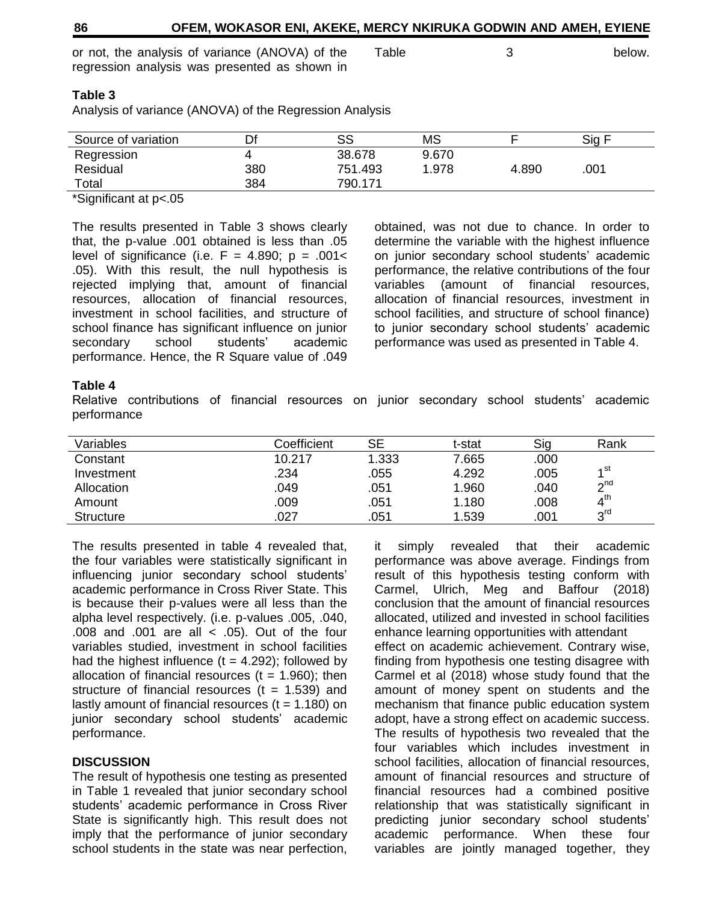or not, the analysis of variance (ANOVA) of the regression analysis was presented as shown in

#### **Table 3**

Analysis of variance (ANOVA) of the Regression Analysis

| Source of variation | Df  | SS      | МS    |       | Sig F |
|---------------------|-----|---------|-------|-------|-------|
| Regression          |     | 38.678  | 9.670 |       |       |
| Residual            | 380 | 751.493 | 1.978 | 4.890 | .001  |
| Total               | 384 | 790.171 |       |       |       |

\*Significant at p<.05

The results presented in Table 3 shows clearly that, the p-value .001 obtained is less than .05 level of significance (i.e.  $F = 4.890$ ;  $p = .001 <$ .05). With this result, the null hypothesis is rejected implying that, amount of financial resources, allocation of financial resources, investment in school facilities, and structure of school finance has significant influence on junior secondary school students' academic performance. Hence, the R Square value of .049 obtained, was not due to chance. In order to determine the variable with the highest influence on junior secondary school students' academic performance, the relative contributions of the four variables (amount of financial resources, allocation of financial resources, investment in school facilities, and structure of school finance) to junior secondary school students' academic performance was used as presented in Table 4.

#### **Table 4**

Relative contributions of financial resources on junior secondary school students' academic performance

| Variables        | Coefficient | SЕ    | t-stat | Sig  | Rank                       |
|------------------|-------------|-------|--------|------|----------------------------|
| Constant         | 10.217      | 1.333 | 7.665  | .000 |                            |
| Investment       | .234        | .055  | 4.292  | .005 | ⊿st                        |
| Allocation       | .049        | .051  | 1.960  | .040 | $\mathsf{P}^{\mathsf{nd}}$ |
| Amount           | .009        | .051  | 1.180  | .008 | $4^{\text{th}}$            |
| <b>Structure</b> | .027        | .051  | 1.539  | .001 | 3 <sup>rd</sup>            |

The results presented in table 4 revealed that, the four variables were statistically significant in influencing junior secondary school students' academic performance in Cross River State. This is because their p-values were all less than the alpha level respectively. (i.e. p-values .005, .040, .008 and .001 are all < .05). Out of the four variables studied, investment in school facilities had the highest influence  $(t = 4.292)$ ; followed by allocation of financial resources  $(t = 1.960)$ ; then structure of financial resources  $(t = 1.539)$  and lastly amount of financial resources  $(t = 1.180)$  on junior secondary school students' academic performance.

# **DISCUSSION**

The result of hypothesis one testing as presented in Table 1 revealed that junior secondary school students' academic performance in Cross River State is significantly high. This result does not imply that the performance of junior secondary school students in the state was near perfection,

it simply revealed that their academic performance was above average. Findings from result of this hypothesis testing conform with Carmel, Ulrich, Meg and Baffour (2018) conclusion that the amount of financial resources allocated, utilized and invested in school facilities enhance learning opportunities with attendant effect on academic achievement. Contrary wise, finding from hypothesis one testing disagree with Carmel et al (2018) whose study found that the amount of money spent on students and the mechanism that finance public education system adopt, have a strong effect on academic success. The results of hypothesis two revealed that the four variables which includes investment in school facilities, allocation of financial resources, amount of financial resources and structure of financial resources had a combined positive relationship that was statistically significant in predicting junior secondary school students' academic performance. When these four variables are jointly managed together, they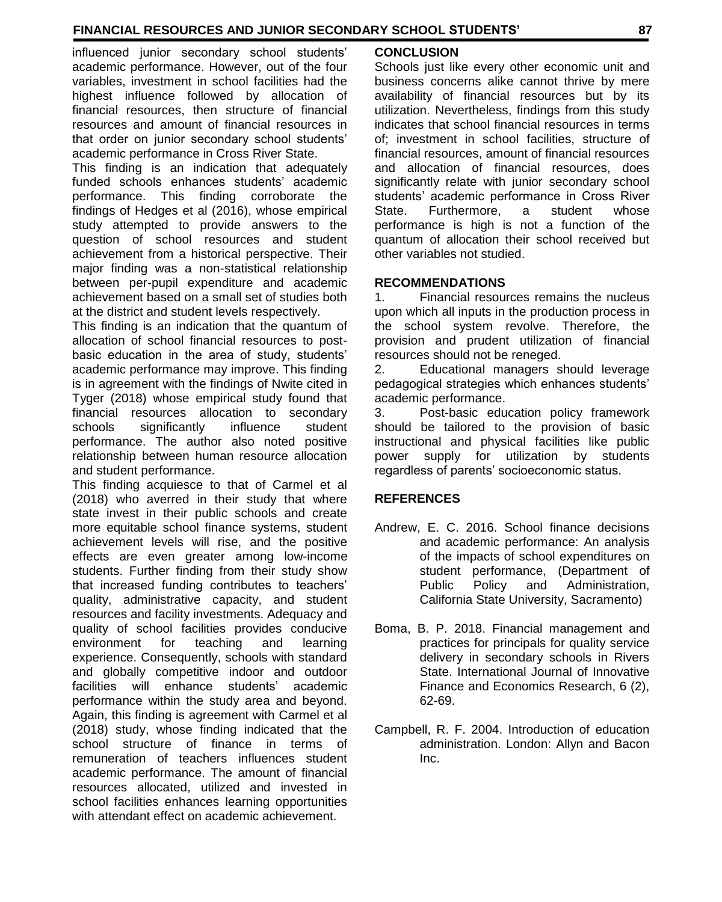influenced junior secondary school students' academic performance. However, out of the four variables, investment in school facilities had the highest influence followed by allocation of financial resources, then structure of financial resources and amount of financial resources in that order on junior secondary school students' academic performance in Cross River State.

This finding is an indication that adequately funded schools enhances students' academic performance. This finding corroborate the findings of Hedges et al (2016), whose empirical study attempted to provide answers to the question of school resources and student achievement from a historical perspective. Their major finding was a non-statistical relationship between per-pupil expenditure and academic achievement based on a small set of studies both at the district and student levels respectively.

This finding is an indication that the quantum of allocation of school financial resources to postbasic education in the area of study, students' academic performance may improve. This finding is in agreement with the findings of Nwite cited in Tyger (2018) whose empirical study found that financial resources allocation to secondary schools significantly influence student performance. The author also noted positive relationship between human resource allocation and student performance.

This finding acquiesce to that of Carmel et al (2018) who averred in their study that where state invest in their public schools and create more equitable school finance systems, student achievement levels will rise, and the positive effects are even greater among low-income students. Further finding from their study show that increased funding contributes to teachers' quality, administrative capacity, and student resources and facility investments. Adequacy and quality of school facilities provides conducive environment for teaching and learning experience. Consequently, schools with standard and globally competitive indoor and outdoor facilities will enhance students' academic performance within the study area and beyond. Again, this finding is agreement with Carmel et al (2018) study, whose finding indicated that the school structure of finance in terms of remuneration of teachers influences student academic performance. The amount of financial resources allocated, utilized and invested in school facilities enhances learning opportunities with attendant effect on academic achievement.

# **CONCLUSION**

Schools just like every other economic unit and business concerns alike cannot thrive by mere availability of financial resources but by its utilization. Nevertheless, findings from this study indicates that school financial resources in terms of; investment in school facilities, structure of financial resources, amount of financial resources and allocation of financial resources, does significantly relate with junior secondary school students' academic performance in Cross River State. Furthermore, a student whose performance is high is not a function of the quantum of allocation their school received but other variables not studied.

# **RECOMMENDATIONS**

1. Financial resources remains the nucleus upon which all inputs in the production process in the school system revolve. Therefore, the provision and prudent utilization of financial resources should not be reneged.

2. Educational managers should leverage pedagogical strategies which enhances students' academic performance.

3. Post-basic education policy framework should be tailored to the provision of basic instructional and physical facilities like public power supply for utilization by students regardless of parents' socioeconomic status.

# **REFERENCES**

- Andrew, E. C. 2016. School finance decisions and academic performance: An analysis of the impacts of school expenditures on student performance, (Department of Public Policy and Administration, California State University, Sacramento)
- Boma, B. P. 2018. Financial management and practices for principals for quality service delivery in secondary schools in Rivers State. International Journal of Innovative Finance and Economics Research, 6 (2), 62-69.
- Campbell, R. F. 2004. Introduction of education administration. London: Allyn and Bacon Inc.